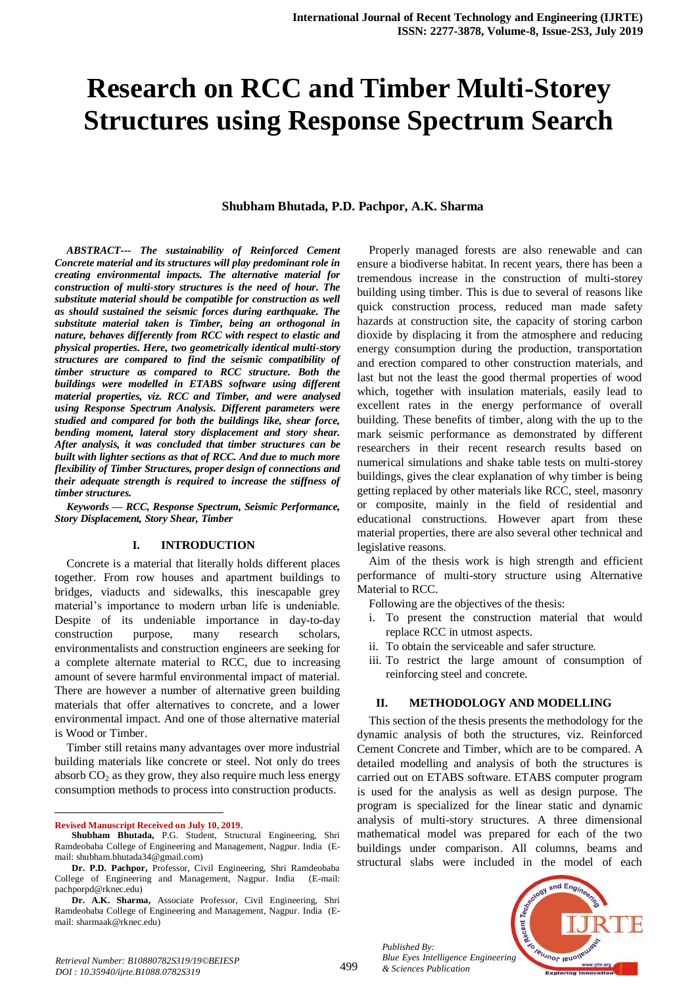# **Research on RCC and Timber Multi-Storey Structures using Response Spectrum Search**

#### **Shubham Bhutada, P.D. Pachpor, A.K. Sharma**

*ABSTRACT--- The sustainability of Reinforced Cement Concrete material and its structures will play predominant role in creating environmental impacts. The alternative material for construction of multi-story structures is the need of hour. The substitute material should be compatible for construction as well as should sustained the seismic forces during earthquake. The substitute material taken is Timber, being an orthogonal in nature, behaves differently from RCC with respect to elastic and physical properties. Here, two geometrically identical multi-story structures are compared to find the seismic compatibility of timber structure as compared to RCC structure. Both the buildings were modelled in ETABS software using different material properties, viz. RCC and Timber, and were analysed using Response Spectrum Analysis. Different parameters were studied and compared for both the buildings like, shear force, bending moment, lateral story displacement and story shear. After analysis, it was concluded that timber structures can be built with lighter sections as that of RCC. And due to much more flexibility of Timber Structures, proper design of connections and their adequate strength is required to increase the stiffness of timber structures.*

*Keywords — RCC, Response Spectrum, Seismic Performance, Story Displacement, Story Shear, Timber*

## **I. INTRODUCTION**

Concrete is a material that literally holds different places together. From row houses and apartment buildings to bridges, viaducts and sidewalks, this inescapable grey material's importance to modern urban life is undeniable. Despite of its undeniable importance in day-to-day construction purpose, many research scholars, environmentalists and construction engineers are seeking for a complete alternate material to RCC, due to increasing amount of severe harmful environmental impact of material. There are however a number of alternative green building materials that offer alternatives to concrete, and a lower environmental impact. And one of those alternative material is Wood or Timber.

Timber still retains many advantages over more industrial building materials like concrete or steel. Not only do trees absorb  $CO<sub>2</sub>$  as they grow, they also require much less energy consumption methods to process into construction products.

**Revised Manuscript Received on July 10, 2019.**

 $\overline{a}$ 

Properly managed forests are also renewable and can ensure a biodiverse habitat. In recent years, there has been a tremendous increase in the construction of multi-storey building using timber. This is due to several of reasons like quick construction process, reduced man made safety hazards at construction site, the capacity of storing carbon dioxide by displacing it from the atmosphere and reducing energy consumption during the production, transportation and erection compared to other construction materials, and last but not the least the good thermal properties of wood which, together with insulation materials, easily lead to excellent rates in the energy performance of overall building. These benefits of timber, along with the up to the mark seismic performance as demonstrated by different researchers in their recent research results based on numerical simulations and shake table tests on multi-storey buildings, gives the clear explanation of why timber is being getting replaced by other materials like RCC, steel, masonry or composite, mainly in the field of residential and educational constructions. However apart from these material properties, there are also several other technical and legislative reasons.

Aim of the thesis work is high strength and efficient performance of multi-story structure using Alternative Material to RCC.

Following are the objectives of the thesis:

- i. To present the construction material that would replace RCC in utmost aspects.
- ii. To obtain the serviceable and safer structure.
- iii. To restrict the large amount of consumption of reinforcing steel and concrete.

#### **II. METHODOLOGY AND MODELLING**

This section of the thesis presents the methodology for the dynamic analysis of both the structures, viz. Reinforced Cement Concrete and Timber, which are to be compared. A detailed modelling and analysis of both the structures is carried out on ETABS software. ETABS computer program is used for the analysis as well as design purpose. The program is specialized for the linear static and dynamic analysis of multi-story structures. A three dimensional mathematical model was prepared for each of the two buildings under comparison. All columns, beams and structural slabs were included in the model of each

*Published By: Blue Eyes Intelligence Engineering & Sciences Publication* 



**Shubham Bhutada,** P.G. Student, Structural Engineering, Shri Ramdeobaba College of Engineering and Management, Nagpur. India (Email: shubham.bhutada34@gmail.com)

**Dr. P.D. Pachpor,** Professor, Civil Engineering, Shri Ramdeobaba College of Engineering and Management, Nagpur. India (E-mail: pachporpd@rknec.edu)

**Dr. A.K. Sharma,** Associate Professor, Civil Engineering, Shri Ramdeobaba College of Engineering and Management, Nagpur. India (Email: sharmaak@rknec.edu)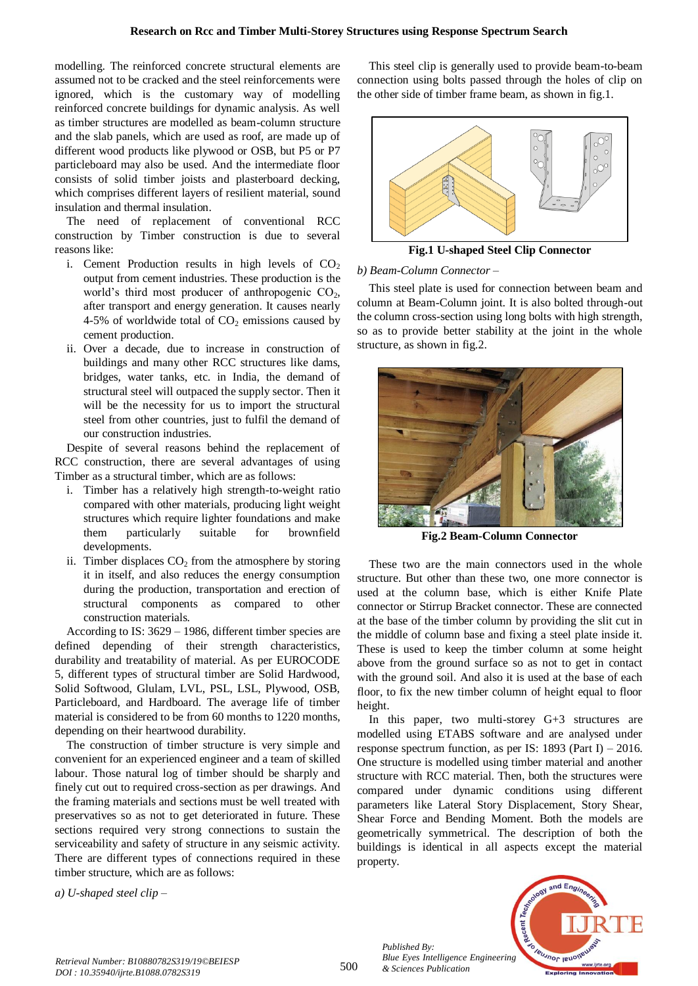modelling. The reinforced concrete structural elements are assumed not to be cracked and the steel reinforcements were ignored, which is the customary way of modelling reinforced concrete buildings for dynamic analysis. As well as timber structures are modelled as beam-column structure and the slab panels, which are used as roof, are made up of different wood products like plywood or OSB, but P5 or P7 particleboard may also be used. And the intermediate floor consists of solid timber joists and plasterboard decking, which comprises different layers of resilient material, sound insulation and thermal insulation.

The need of replacement of conventional RCC construction by Timber construction is due to several reasons like:

- i. Cement Production results in high levels of  $CO<sub>2</sub>$ output from cement industries. These production is the world's third most producer of anthropogenic  $CO<sub>2</sub>$ , after transport and energy generation. It causes nearly 4-5% of worldwide total of  $CO<sub>2</sub>$  emissions caused by cement production.
- ii. Over a decade, due to increase in construction of buildings and many other RCC structures like dams, bridges, water tanks, etc. in India, the demand of structural steel will outpaced the supply sector. Then it will be the necessity for us to import the structural steel from other countries, just to fulfil the demand of our construction industries.

Despite of several reasons behind the replacement of RCC construction, there are several advantages of using Timber as a structural timber, which are as follows:

- i. Timber has a relatively high strength-to-weight ratio compared with other materials, producing light weight structures which require lighter foundations and make them particularly suitable for brownfield developments.
- ii. Timber displaces  $CO<sub>2</sub>$  from the atmosphere by storing it in itself, and also reduces the energy consumption during the production, transportation and erection of structural components as compared to other construction materials.

According to IS: 3629 – 1986, different timber species are defined depending of their strength characteristics, durability and treatability of material. As per EUROCODE 5, different types of structural timber are Solid Hardwood, Solid Softwood, Glulam, LVL, PSL, LSL, Plywood, OSB, Particleboard, and Hardboard. The average life of timber material is considered to be from 60 months to 1220 months, depending on their heartwood durability.

The construction of timber structure is very simple and convenient for an experienced engineer and a team of skilled labour. Those natural log of timber should be sharply and finely cut out to required cross-section as per drawings. And the framing materials and sections must be well treated with preservatives so as not to get deteriorated in future. These sections required very strong connections to sustain the serviceability and safety of structure in any seismic activity. There are different types of connections required in these timber structure, which are as follows:

*a) U-shaped steel clip –*

This steel clip is generally used to provide beam-to-beam connection using bolts passed through the holes of clip on the other side of timber frame beam, as shown in fig.1.



**Fig.1 U-shaped Steel Clip Connector**

*b) Beam-Column Connector –*

This steel plate is used for connection between beam and column at Beam-Column joint. It is also bolted through-out the column cross-section using long bolts with high strength, so as to provide better stability at the joint in the whole structure, as shown in fig.2.



**Fig.2 Beam-Column Connector**

These two are the main connectors used in the whole structure. But other than these two, one more connector is used at the column base, which is either Knife Plate connector or Stirrup Bracket connector. These are connected at the base of the timber column by providing the slit cut in the middle of column base and fixing a steel plate inside it. These is used to keep the timber column at some height above from the ground surface so as not to get in contact with the ground soil. And also it is used at the base of each floor, to fix the new timber column of height equal to floor height.

In this paper, two multi-storey G+3 structures are modelled using ETABS software and are analysed under response spectrum function, as per IS: 1893 (Part I) – 2016. One structure is modelled using timber material and another structure with RCC material. Then, both the structures were compared under dynamic conditions using different parameters like Lateral Story Displacement, Story Shear, Shear Force and Bending Moment. Both the models are geometrically symmetrical. The description of both the buildings is identical in all aspects except the material property.



*Published By:*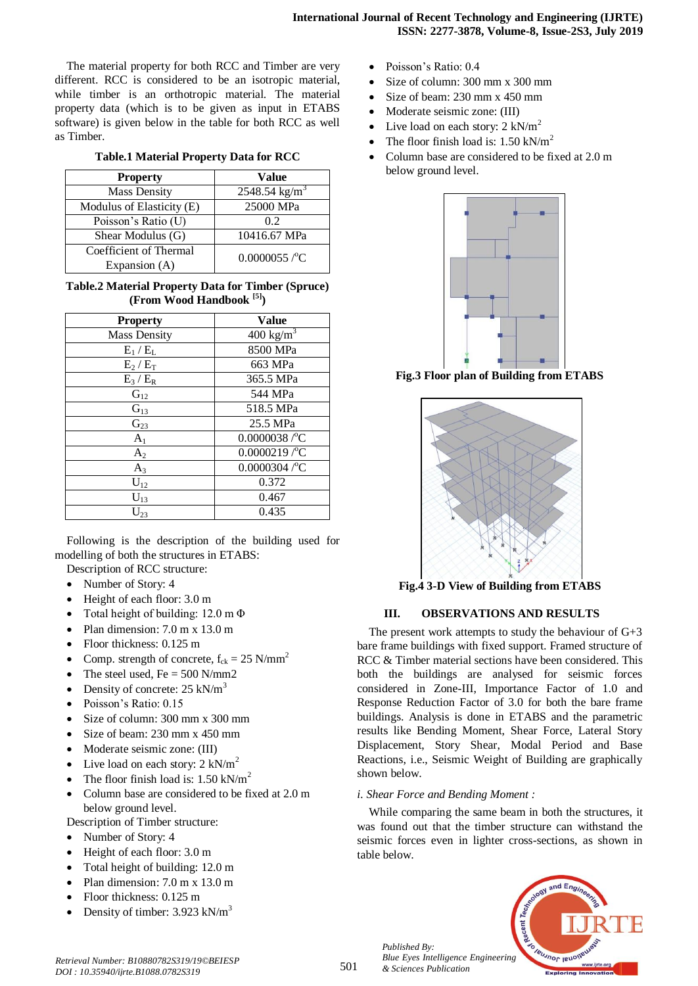The material property for both RCC and Timber are very different. RCC is considered to be an isotropic material, while timber is an orthotropic material. The material property data (which is to be given as input in ETABS software) is given below in the table for both RCC as well as Timber.

|  | Table.1 Material Property Data for RCC |  |  |
|--|----------------------------------------|--|--|
|  |                                        |  |  |

| <b>Property</b>           | Value                       |  |
|---------------------------|-----------------------------|--|
| <b>Mass Density</b>       | $2548.54$ kg/m <sup>3</sup> |  |
| Modulus of Elasticity (E) | 25000 MPa                   |  |
| Poisson's Ratio (U)       | 0.2                         |  |
| Shear Modulus (G)         | 10416.67 MPa                |  |
| Coefficient of Thermal    | $0.0000055$ /°C             |  |
| Expansion (A)             |                             |  |

# **Table.2 Material Property Data for Timber (Spruce) (From Wood Handbook [5])**

| <b>Property</b>     | <b>Value</b>         |
|---------------------|----------------------|
| <b>Mass Density</b> | $400 \text{ kg/m}^3$ |
| $E_1/E_L$           | 8500 MPa             |
| $E_2/E_T$           | 663 MPa              |
| $E_3/E_R$           | 365.5 MPa            |
| $G_{12}$            | 544 MPa              |
| $G_{13}$            | 518.5 MPa            |
| $G_{23}$            | 25.5 MPa             |
| A <sub>1</sub>      | $0.0000038$ /°C      |
| A <sub>2</sub>      | $0.0000219$ /°C      |
| $A_3$               | $0.0000304$ /°C      |
| $U_{12}$            | 0.372                |
| $U_{13}$            | 0.467                |
| $U_{23}$            | 0.435                |

Following is the description of the building used for modelling of both the structures in ETABS:

Description of RCC structure:

- Number of Story: 4
- Height of each floor: 3.0 m
- Total height of building: 12.0 m Φ
- Plan dimension: 7.0 m x 13.0 m
- Floor thickness: 0.125 m
- Comp. strength of concrete,  $f_{ck} = 25$  N/mm<sup>2</sup>
- The steel used,  $Fe = 500$  N/mm2
- Density of concrete: 25 kN/m<sup>3</sup>
- Poisson's Ratio: 0.15
- Size of column: 300 mm x 300 mm
- Size of beam: 230 mm x 450 mm
- Moderate seismic zone: (III)
- Live load on each story:  $2 \text{ kN/m}^2$
- The floor finish load is:  $1.50 \text{ kN/m}^2$
- Column base are considered to be fixed at 2.0 m below ground level.

Description of Timber structure:

- Number of Story: 4
- Height of each floor: 3.0 m
- Total height of building: 12.0 m
- Plan dimension: 7.0 m x 13.0 m
- Floor thickness: 0.125 m
- Density of timber: 3.923 kN/m<sup>3</sup>
- Poisson's Ratio: 0.4
- Size of column: 300 mm x 300 mm
- Size of beam: 230 mm x 450 mm
- Moderate seismic zone: (III)
- Live load on each story:  $2 \text{ kN/m}^2$
- The floor finish load is:  $1.50 \text{ kN/m}^2$
- Column base are considered to be fixed at 2.0 m below ground level.



**Fig.3 Floor plan of Building from ETABS**



**Fig.4 3-D View of Building from ETABS**

## **III. OBSERVATIONS AND RESULTS**

The present work attempts to study the behaviour of  $G+3$ bare frame buildings with fixed support. Framed structure of RCC & Timber material sections have been considered. This both the buildings are analysed for seismic forces considered in Zone-III, Importance Factor of 1.0 and Response Reduction Factor of 3.0 for both the bare frame buildings. Analysis is done in ETABS and the parametric results like Bending Moment, Shear Force, Lateral Story Displacement, Story Shear, Modal Period and Base Reactions, i.e., Seismic Weight of Building are graphically shown below.

## *i. Shear Force and Bending Moment :*

While comparing the same beam in both the structures, it was found out that the timber structure can withstand the seismic forces even in lighter cross-sections, as shown in table below.



*Published By:*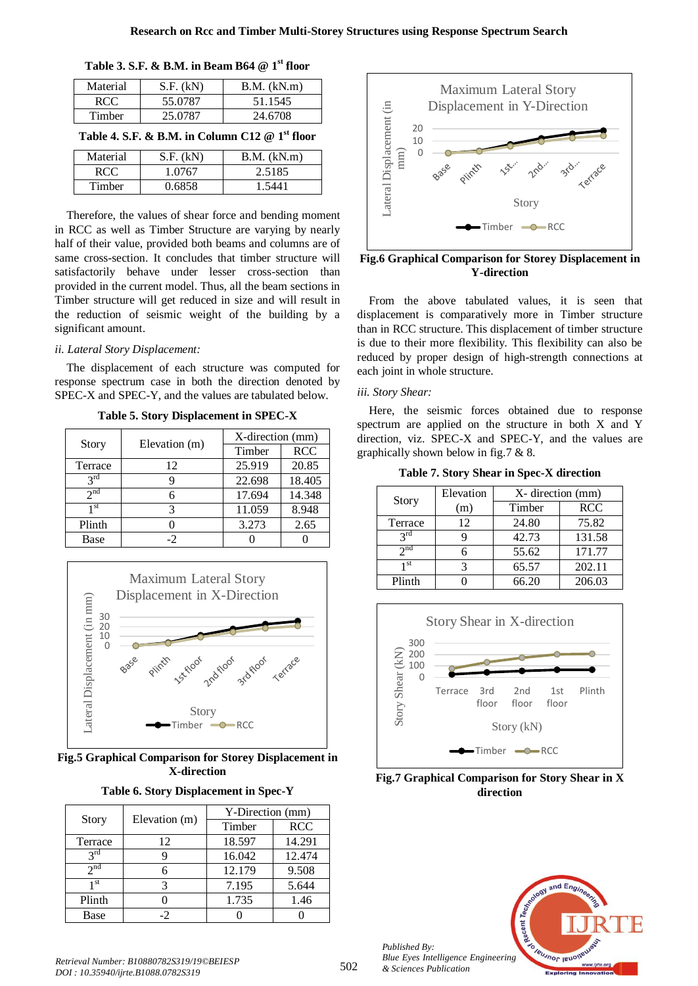| Material                                        | $S.F.$ $(kN)$ | $B.M.$ (kN.m) |  |  |  |
|-------------------------------------------------|---------------|---------------|--|--|--|
| RCC.                                            | 55.0787       | 51.1545       |  |  |  |
| Timber                                          | 25.0787       | 24.6708       |  |  |  |
| Table 4. S.F. & B.M. in Column C12 $@1st$ floor |               |               |  |  |  |

| Table 3. S.F. & B.M. in Beam B64 @ $1^{\rm st}$ floor |  |  |  |  |
|-------------------------------------------------------|--|--|--|--|
|-------------------------------------------------------|--|--|--|--|

| Table 4. S.F. & B.M. in Column C12 $@1st$ floor |           |             |  |  |
|-------------------------------------------------|-----------|-------------|--|--|
| Material                                        | S.F. (kN) | B.M. (kN.m) |  |  |
| RCC.                                            | 1.0767    | 2.5185      |  |  |
| Timber                                          | 0.6858    | 1.5441      |  |  |

Therefore, the values of shear force and bending moment in RCC as well as Timber Structure are varying by nearly half of their value, provided both beams and columns are of same cross-section. It concludes that timber structure will satisfactorily behave under lesser cross-section than provided in the current model. Thus, all the beam sections in Timber structure will get reduced in size and will result in the reduction of seismic weight of the building by a significant amount.

# *ii. Lateral Story Displacement:*

The displacement of each structure was computed for response spectrum case in both the direction denoted by SPEC-X and SPEC-Y, and the values are tabulated below.

|                 | Elevation (m) | X-direction (mm) |            |  |
|-----------------|---------------|------------------|------------|--|
| Story           |               | Timber           | <b>RCC</b> |  |
| Terrace         | 12            | 25.919           | 20.85      |  |
| $2^{\text{rd}}$ |               | 22.698           | 18.405     |  |
| $2^{nd}$        |               | 17.694           | 14.348     |  |
| 1 <sup>st</sup> | 3             | 11.059           | 8.948      |  |
| Plinth          |               | 3.273            | 2.65       |  |
| Base            | -2            |                  |            |  |

**Table 5. Story Displacement in SPEC-X**



**Fig.5 Graphical Comparison for Storey Displacement in X-direction**

|                 | Elevation (m) | Y-Direction (mm) |            |  |
|-----------------|---------------|------------------|------------|--|
| Story           |               | Timber           | <b>RCC</b> |  |
| Terrace         | 12            | 18.597           | 14.291     |  |
| $2^{\text{rd}}$ |               | 16.042           | 12.474     |  |
| $2^{nd}$        |               | 12.179           | 9.508      |  |
| 1 st            | 3             | 7.195            | 5.644      |  |
| Plinth          |               | 1.735            | 1.46       |  |
| Base            | -2            |                  |            |  |



**Fig.6 Graphical Comparison for Storey Displacement in Y-direction**

From the above tabulated values, it is seen that displacement is comparatively more in Timber structure than in RCC structure. This displacement of timber structure is due to their more flexibility. This flexibility can also be reduced by proper design of high-strength connections at each joint in whole structure.

## *iii. Story Shear:*

Here, the seismic forces obtained due to response spectrum are applied on the structure in both X and Y direction, viz. SPEC-X and SPEC-Y, and the values are graphically shown below in fig.7 & 8.

**Table 7. Story Shear in Spec-X direction**

|                 | Elevation | X- direction (mm) |            |  |
|-----------------|-----------|-------------------|------------|--|
| Story           | (m)       | Timber            | <b>RCC</b> |  |
| Terrace         | 12        | 24.80             | 75.82      |  |
| $2^{\text{rd}}$ |           | 42.73             | 131.58     |  |
| $2^{nd}$        |           | 55.62             | 171.77     |  |
| 1 st            |           | 65.57             | 202.11     |  |
| Plinth          |           | 66.20             | 206.03     |  |



**Fig.7 Graphical Comparison for Story Shear in X direction**



*Published By:*